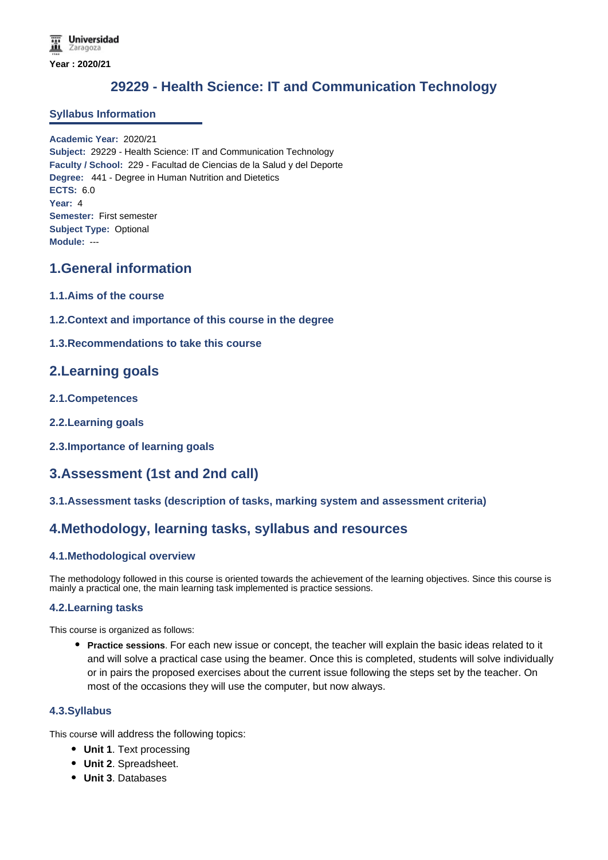# **29229 - Health Science: IT and Communication Technology**

#### **Syllabus Information**

**Academic Year:** 2020/21 **Subject:** 29229 - Health Science: IT and Communication Technology **Faculty / School:** 229 - Facultad de Ciencias de la Salud y del Deporte **Degree:** 441 - Degree in Human Nutrition and Dietetics **ECTS:** 6.0 **Year:** 4 **Semester:** First semester **Subject Type:** Optional **Module:** ---

# **1.General information**

- **1.1.Aims of the course**
- **1.2.Context and importance of this course in the degree**
- **1.3.Recommendations to take this course**

# **2.Learning goals**

- **2.1.Competences**
- **2.2.Learning goals**
- **2.3.Importance of learning goals**

# **3.Assessment (1st and 2nd call)**

#### **3.1.Assessment tasks (description of tasks, marking system and assessment criteria)**

# **4.Methodology, learning tasks, syllabus and resources**

### **4.1.Methodological overview**

The methodology followed in this course is oriented towards the achievement of the learning objectives. Since this course is mainly a practical one, the main learning task implemented is practice sessions.

#### **4.2.Learning tasks**

This course is organized as follows:

**Practice sessions**. For each new issue or concept, the teacher will explain the basic ideas related to it and will solve a practical case using the beamer. Once this is completed, students will solve individually or in pairs the proposed exercises about the current issue following the steps set by the teacher. On most of the occasions they will use the computer, but now always.

### **4.3.Syllabus**

This course will address the following topics:

- **Unit 1**. Text processing
- **Unit 2**. Spreadsheet.
- **Unit 3**. Databases